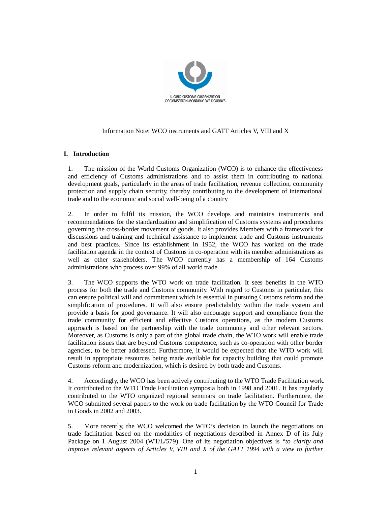

## Information Note: WCO instruments and GATT Articles V, VIII and X

## **I. Introduction**

1. The mission of the World Customs Organization (WCO) is to enhance the effectiveness and efficiency of Customs administrations and to assist them in contributing to national development goals, particularly in the areas of trade facilitation, revenue collection, community protection and supply chain security, thereby contributing to the development of international trade and to the economic and social well-being of a country

2. In order to fulfil its mission, the WCO develops and maintains instruments and recommendations for the standardization and simplification of Customs systems and procedures governing the cross-border movement of goods. It also provides Members with a framework for discussions and training and technical assistance to implement trade and Customs instruments and best practices. Since its establishment in 1952, the WCO has worked on the trade facilitation agenda in the context of Customs in co-operation with its member administrations as well as other stakeholders. The WCO currently has a membership of 164 Customs administrations who process over 99% of all world trade.

3. The WCO supports the WTO work on trade facilitation. It sees benefits in the WTO process for both the trade and Customs community. With regard to Customs in particular, this can ensure political will and commitment which is essential in pursuing Customs reform and the simplification of procedures. It will also ensure predictability within the trade system and provide a basis for good governance. It will also encourage support and compliance from the trade community for efficient and effective Customs operations, as the modern Customs approach is based on the partnership with the trade community and other relevant sectors. Moreover, as Customs is only a part of the global trade chain, the WTO work will enable trade facilitation issues that are beyond Customs competence, such as co-operation with other border agencies, to be better addressed. Furthermore, it would be expected that the WTO work will result in appropriate resources being made available for capacity building that could promote Customs reform and modernization, which is desired by both trade and Customs.

4. Accordingly, the WCO has been actively contributing to the WTO Trade Facilitation work. It contributed to the WTO Trade Facilitation symposia both in 1998 and 2001. It has regularly contributed to the WTO organized regional seminars on trade facilitation. Furthermore, the WCO submitted several papers to the work on trade facilitation by the WTO Council for Trade in Goods in 2002 and 2003.

5. More recently, the WCO welcomed the WTO's decision to launch the negotiations on trade facilitation based on the modalities of negotiations described in Annex D of its July Package on 1 August 2004 (WT/L/579). One of its negotiation objectives is "*to clarify and improve relevant aspects of Articles V, VIII and X of the GATT 1994 with a view to further*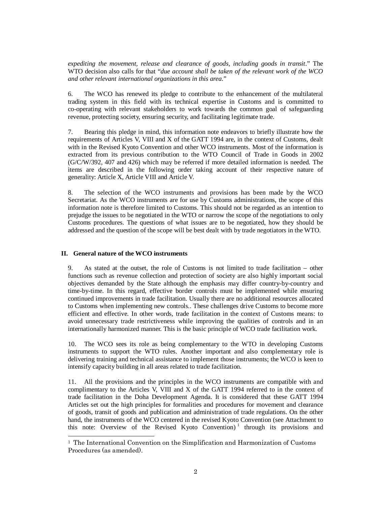*expediting the movement, release and clearance of goods, including goods in transit*." The WTO decision also calls for that "*due account shall be taken of the relevant work of the WCO and other relevant international organizations in this area*."

6. The WCO has renewed its pledge to contribute to the enhancement of the multilateral trading system in this field with its technical expertise in Customs and is committed to co-operating with relevant stakeholders to work towards the common goal of safeguarding revenue, protecting society, ensuring security, and facilitating legitimate trade.

7. Bearing this pledge in mind, this information note endeavors to briefly illustrate how the requirements of Articles V, VIII and X of the GATT 1994 are, in the context of Customs, dealt with in the Revised Kyoto Convention and other WCO instruments. Most of the information is extracted from its previous contribution to the WTO Council of Trade in Goods in 2002 (G/C/W/392, 407 and 426) which may be referred if more detailed information is needed. The items are described in the following order taking account of their respective nature of generality: Article X, Article VIII and Article V.

8. The selection of the WCO instruments and provisions has been made by the WCO Secretariat. As the WCO instruments are for use by Customs administrations, the scope of this information note is therefore limited to Customs. This should not be regarded as an intention to prejudge the issues to be negotiated in the WTO or narrow the scope of the negotiations to only Customs procedures. The questions of what issues are to be negotiated, how they should be addressed and the question of the scope will be best dealt with by trade negotiators in the WTO.

## **II. General nature of the WCO instruments**

l

9. As stated at the outset, the role of Customs is not limited to trade facilitation – other functions such as revenue collection and protection of society are also highly important social objectives demanded by the State although the emphasis may differ country-by-country and time-by-time. In this regard, effective border controls must be implemented while ensuring continued improvements in trade facilitation. Usually there are no additional resources allocated to Customs when implementing new controls.. These challenges drive Customs to become more efficient and effective. In other words, trade facilitation in the context of Customs means: to avoid unnecessary trade restrictiveness while improving the qualities of controls and in an internationally harmonized manner. This is the basic principle of WCO trade facilitation work.

10. The WCO sees its role as being complementary to the WTO in developing Customs instruments to support the WTO rules. Another important and also complementary role is delivering training and technical assistance to implement those instruments; the WCO is keen to intensify capacity building in all areas related to trade facilitation.

11. All the provisions and the principles in the WCO instruments are compatible with and complimentary to the Articles V, VIII and X of the GATT 1994 referred to in the context of trade facilitation in the Doha Development Agenda. It is considered that these GATT 1994 Articles set out the high principles for formalities and procedures for movement and clearance of goods, transit of goods and publication and administration of trade regulations. On the other hand, the instruments of the WCO centered in the revised Kyoto Convention (see Attachment to this note: Overview of the Revised Kyoto Convention)<sup>1</sup> through its provisions and

<sup>1</sup> The International Convention on the Simplification and Harmonization of Customs Procedures (as amended).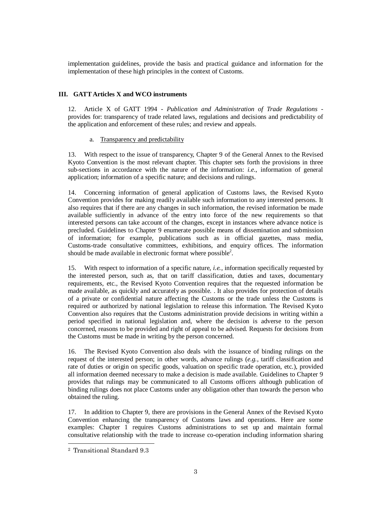implementation guidelines, provide the basis and practical guidance and information for the implementation of these high principles in the context of Customs.

# **III. GATT Articles X and WCO instruments**

12. Article X of GATT 1994 - *Publication and Administration of Trade Regulations* provides for: transparency of trade related laws, regulations and decisions and predictability of the application and enforcement of these rules; and review and appeals.

## a. Transparency and predictability

13. With respect to the issue of transparency, Chapter 9 of the General Annex to the Revised Kyoto Convention is the most relevant chapter. This chapter sets forth the provisions in three sub-sections in accordance with the nature of the information: *i.e.*, information of general application; information of a specific nature; and decisions and rulings.

14. Concerning information of general application of Customs laws, the Revised Kyoto Convention provides for making readily available such information to any interested persons. It also requires that if there are any changes in such information, the revised information be made available sufficiently in advance of the entry into force of the new requirements so that interested persons can take account of the changes, except in instances where advance notice is precluded. Guidelines to Chapter 9 enumerate possible means of dissemination and submission of information; for example, publications such as in official gazettes, mass media, Customs-trade consultative committees, exhibitions, and enquiry offices. The information should be made available in electronic format where possible<sup>2</sup>.

15. With respect to information of a specific nature, *i.e.*, information specifically requested by the interested person, such as, that on tariff classification, duties and taxes, documentary requirements, etc., the Revised Kyoto Convention requires that the requested information be made available, as quickly and accurately as possible. . It also provides for protection of details of a private or confidential nature affecting the Customs or the trade unless the Customs is required or authorized by national legislation to release this information. The Revised Kyoto Convention also requires that the Customs administration provide decisions in writing within a period specified in national legislation and, where the decision is adverse to the person concerned, reasons to be provided and right of appeal to be advised. Requests for decisions from the Customs must be made in writing by the person concerned.

16. The Revised Kyoto Convention also deals with the issuance of binding rulings on the request of the interested person; in other words, advance rulings (*e.g.*, tariff classification and rate of duties or origin on specific goods, valuation on specific trade operation, etc.), provided all information deemed necessary to make a decision is made available. Guidelines to Chapter 9 provides that rulings may be communicated to all Customs officers although publication of binding rulings does not place Customs under any obligation other than towards the person who obtained the ruling.

17. In addition to Chapter 9, there are provisions in the General Annex of the Revised Kyoto Convention enhancing the transparency of Customs laws and operations. Here are some examples: Chapter 1 requires Customs administrations to set up and maintain formal consultative relationship with the trade to increase co-operation including information sharing

<sup>2</sup> Transitional Standard 9.3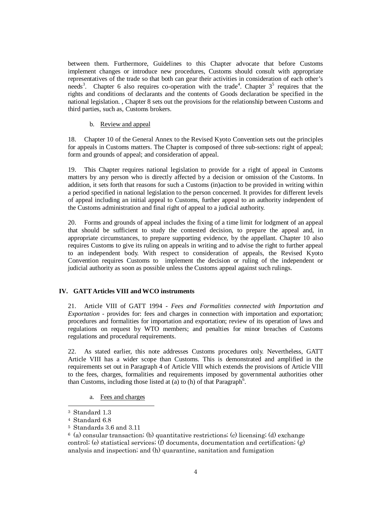between them. Furthermore, Guidelines to this Chapter advocate that before Customs implement changes or introduce new procedures, Customs should consult with appropriate representatives of the trade so that both can gear their activities in consideration of each other's needs<sup>3</sup>. Chapter 6 also requires co-operation with the trade<sup>4</sup>. Chapter  $3<sup>5</sup>$  requires that the rights and conditions of declarants and the contents of Goods declaration be specified in the national legislation. , Chapter 8 sets out the provisions for the relationship between Customs and third parties, such as, Customs brokers.

### b. Review and appeal

18. Chapter 10 of the General Annex to the Revised Kyoto Convention sets out the principles for appeals in Customs matters. The Chapter is composed of three sub-sections: right of appeal; form and grounds of appeal; and consideration of appeal.

19. This Chapter requires national legislation to provide for a right of appeal in Customs matters by any person who is directly affected by a decision or omission of the Customs. In addition, it sets forth that reasons for such a Customs (in)action to be provided in writing within a period specified in national legislation to the person concerned. It provides for different levels of appeal including an initial appeal to Customs, further appeal to an authority independent of the Customs administration and final right of appeal to a judicial authority.

20. Forms and grounds of appeal includes the fixing of a time limit for lodgment of an appeal that should be sufficient to study the contested decision, to prepare the appeal and, in appropriate circumstances, to prepare supporting evidence, by the appellant. Chapter 10 also requires Customs to give its ruling on appeals in writing and to advise the right to further appeal to an independent body. With respect to consideration of appeals, the Revised Kyoto Convention requires Customs to implement the decision or ruling of the independent or judicial authority as soon as possible unless the Customs appeal against such rulings.

## **IV. GATT Articles VIII and WCO instruments**

21. Article VIII of GATT 1994 - *Fees and Formalities connected with Importation and Exportation* - provides for: fees and charges in connection with importation and exportation; procedures and formalities for importation and exportation; review of its operation of laws and regulations on request by WTO members; and penalties for minor breaches of Customs regulations and procedural requirements.

22. As stated earlier, this note addresses Customs procedures only. Nevertheless, GATT Article VIII has a wider scope than Customs. This is demonstrated and amplified in the requirements set out in Paragraph 4 of Article VIII which extends the provisions of Article VIII to the fees, charges, formalities and requirements imposed by governmental authorities other than Customs, including those listed at (a) to (h) of that Paragraph<sup>6</sup>.

a. Fees and charges

- <sup>4</sup> Standard 6.8
- <sup>5</sup> Standards 3.6 and 3.11

<sup>3</sup> Standard 1.3

 $6$  (a) consular transaction; (b) quantitative restrictions; (c) licensing; (d) exchange control; (e) statistical services; (f) documents, documentation and certification;  $(g)$ analysis and inspection; and (h) quarantine, sanitation and fumigation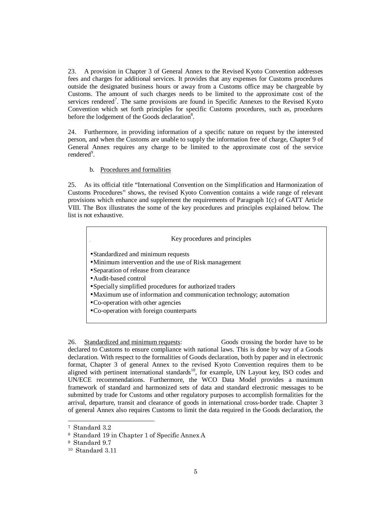23. A provision in Chapter 3 of General Annex to the Revised Kyoto Convention addresses fees and charges for additional services. It provides that any expenses for Customs procedures outside the designated business hours or away from a Customs office may be chargeable by Customs. The amount of such charges needs to be limited to the approximate cost of the services rendered<sup>7</sup>. The same provisions are found in Specific Annexes to the Revised Kyoto Convention which set forth principles for specific Customs procedures, such as, procedures before the lodgement of the Goods declaration<sup>8</sup>.

24. Furthermore, in providing information of a specific nature on request by the interested person, and when the Customs are unable to supply the information free of charge, Chapter 9 of General Annex requires any charge to be limited to the approximate cost of the service rendered<sup>9</sup>.

## b. Procedures and formalities

25. As its official title "International Convention on the Simplification and Harmonization of Customs Procedures" shows, the revised Kyoto Convention contains a wide range of relevant provisions which enhance and supplement the requirements of Paragraph 1(c) of GATT Article VIII. The Box illustrates the some of the key procedures and principles explained below. The list is not exhaustive.

## Key procedures and principles

- •Standardized and minimum requests
- •Minimum intervention and the use of Risk management
- •Separation of release from clearance
- •Audit-based control
- •Specially simplified procedures for authorized traders
- •Maximum use of information and communication technology; automation
- •Co-operation with other agencies
- •Co-operation with foreign counterparts

26. Standardized and minimum requests: Goods crossing the border have to be declared to Customs to ensure compliance with national laws. This is done by way of a Goods declaration. With respect to the formalities of Goods declaration, both by paper and in electronic format, Chapter 3 of general Annex to the revised Kyoto Convention requires them to be aligned with pertinent international standards $10$ , for example, UN Layout key, ISO codes and UN/ECE recommendations. Furthermore, the WCO Data Model provides a maximum framework of standard and harmonized sets of data and standard electronic messages to be submitted by trade for Customs and other regulatory purposes to accomplish formalities for the arrival, departure, transit and clearance of goods in international cross-border trade. Chapter 3 of general Annex also requires Customs to limit the data required in the Goods declaration, the

<sup>7</sup> Standard 3.2

<sup>8</sup> Standard 19 in Chapter 1 of Specific Annex A

<sup>9</sup> Standard 9.7

<sup>10</sup> Standard 3.11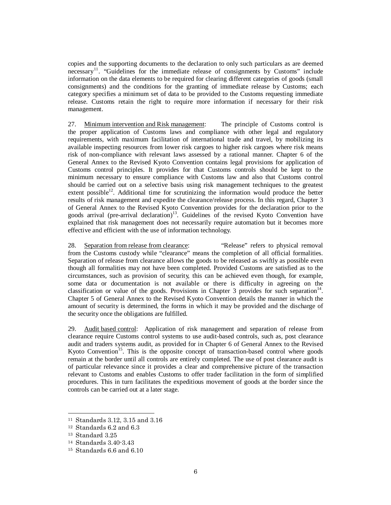copies and the supporting documents to the declaration to only such particulars as are deemed necessary<sup>11</sup>. "Guidelines for the immediate release of consignments by Customs" include information on the data elements to be required for clearing different categories of goods (small consignments) and the conditions for the granting of immediate release by Customs; each category specifies a minimum set of data to be provided to the Customs requesting immediate release. Customs retain the right to require more information if necessary for their risk management.

27. Minimum intervention and Risk management: The principle of Customs control is the proper application of Customs laws and compliance with other legal and regulatory requirements, with maximum facilitation of international trade and travel, by mobilizing its available inspecting resources from lower risk cargoes to higher risk cargoes where risk means risk of non-compliance with relevant laws assessed by a rational manner. Chapter 6 of the General Annex to the Revised Kyoto Convention contains legal provisions for application of Customs control principles. It provides for that Customs controls should be kept to the minimum necessary to ensure compliance with Customs law and also that Customs control should be carried out on a selective basis using risk management techniques to the greatest extent possible $1^2$ . Additional time for scrutinizing the information would produce the better results of risk management and expedite the clearance/release process. In this regard, Chapter 3 of General Annex to the Revised Kyoto Convention provides for the declaration prior to the goods arrival (pre-arrival declaration)<sup>13</sup>. Guidelines of the revised Kyoto Convention have explained that risk management does not necessarily require automation but it becomes more effective and efficient with the use of information technology.

28. Separation from release from clearance: "Release" refers to physical removal from the Customs custody while "clearance" means the completion of all official formalities. Separation of release from clearance allows the goods to be released as swiftly as possible even though all formalities may not have been completed. Provided Customs are satisfied as to the circumstances, such as provision of security, this can be achieved even though, for example, some data or documentation is not available or there is difficulty in agreeing on the classification or value of the goods. Provisions in Chapter 3 provides for such separation<sup>14</sup>. Chapter 5 of General Annex to the Revised Kyoto Convention details the manner in which the amount of security is determined, the forms in which it may be provided and the discharge of the security once the obligations are fulfilled.

29. Audit based control: Application of risk management and separation of release from clearance require Customs control systems to use audit-based controls, such as, post clearance audit and traders systems audit, as provided for in Chapter 6 of General Annex to the Revised Kyoto Convention<sup>15</sup>. This is the opposite concept of transaction-based control where goods remain at the border until all controls are entirely completed. The use of post clearance audit is of particular relevance since it provides a clear and comprehensive picture of the transaction relevant to Customs and enables Customs to offer trader facilitation in the form of simplified procedures. This in turn facilitates the expeditious movement of goods at the border since the controls can be carried out at a later stage.

<sup>11</sup> Standards 3.12, 3.15 and 3.16

<sup>12</sup> Standards 6.2 and 6.3

<sup>13</sup> Standard 3.25

<sup>14</sup> Standards 3.40-3.43

<sup>15</sup> Standards 6.6 and 6.10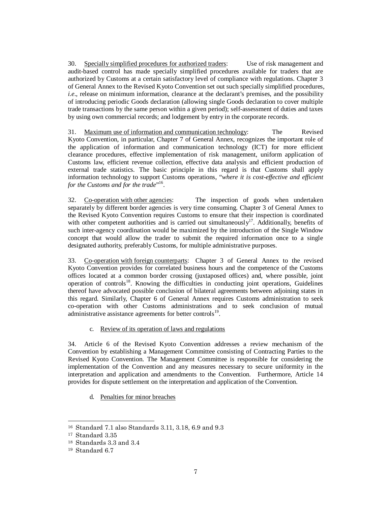30. Specially simplified procedures for authorized traders: Use of risk management and audit-based control has made specially simplified procedures available for traders that are authorized by Customs at a certain satisfactory level of compliance with regulations. Chapter 3 of General Annex to the Revised Kyoto Convention set out such specially simplified procedures, *i.e.*, release on minimum information, clearance at the declarant's premises, and the possibility of introducing periodic Goods declaration (allowing single Goods declaration to cover multiple trade transactions by the same person within a given period); self-assessment of duties and taxes by using own commercial records; and lodgement by entry in the corporate records.

31. Maximum use of information and communication technology: The Revised Kyoto Convention, in particular, Chapter 7 of General Annex, recognizes the important role of the application of information and communication technology (ICT) for more efficient clearance procedures, effective implementation of risk management, uniform application of Customs law, efficient revenue collection, effective data analysis and efficient production of external trade statistics. The basic principle in this regard is that Customs shall apply information technology to support Customs operations, "*where it is cost-effective and efficient*  for the Customs and for the trade"<sup>16</sup>.

32. Co-operation with other agencies: The inspection of goods when undertaken separately by different border agencies is very time consuming. Chapter 3 of General Annex to the Revised Kyoto Convention requires Customs to ensure that their inspection is coordinated with other competent authorities and is carried out simultaneously<sup>17</sup>. Additionally, benefits of such inter-agency coordination would be maximized by the introduction of the Single Window concept that would allow the trader to submit the required information once to a single designated authority, preferably Customs, for multiple administrative purposes.

33. Co-operation with foreign counterparts: Chapter 3 of General Annex to the revised Kyoto Convention provides for correlated business hours and the competence of the Customs offices located at a common border crossing (juxtaposed offices) and, where possible, joint operation of controls<sup>18</sup>. Knowing the difficulties in conducting joint operations, Guidelines thereof have advocated possible conclusion of bilateral agreements between adjoining states in this regard. Similarly, Chapter 6 of General Annex requires Customs administration to seek co-operation with other Customs administrations and to seek conclusion of mutual administrative assistance agreements for better controls $^{19}$ .

# c. Review of its operation of laws and regulations

34. Article 6 of the Revised Kyoto Convention addresses a review mechanism of the Convention by establishing a Management Committee consisting of Contracting Parties to the Revised Kyoto Convention. The Management Committee is responsible for considering the implementation of the Convention and any measures necessary to secure uniformity in the interpretation and application and amendments to the Convention. Furthermore, Article 14 provides for dispute settlement on the interpretation and application of the Convention.

d. Penalties for minor breaches

<sup>16</sup> Standard 7.1 also Standards 3.11, 3.18, 6.9 and 9.3

<sup>17</sup> Standard 3.35

<sup>18</sup> Standards 3.3 and 3.4

<sup>19</sup> Standard 6.7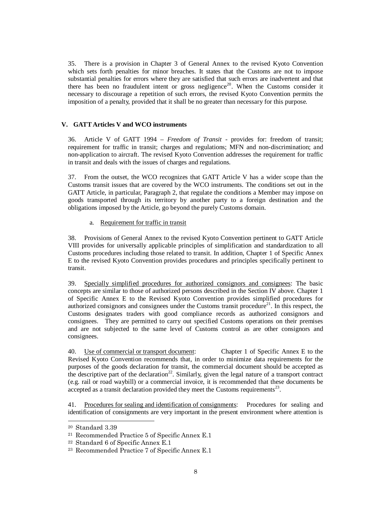35. There is a provision in Chapter 3 of General Annex to the revised Kyoto Convention which sets forth penalties for minor breaches. It states that the Customs are not to impose substantial penalties for errors where they are satisfied that such errors are inadvertent and that there has been no fraudulent intent or gross negligence<sup>20</sup>. When the Customs consider it necessary to discourage a repetition of such errors, the revised Kyoto Convention permits the imposition of a penalty, provided that it shall be no greater than necessary for this purpose.

# **V. GATT Articles V and WCO instruments**

36. Article V of GATT 1994 – *Freedom of Transit* - provides for: freedom of transit; requirement for traffic in transit; charges and regulations; MFN and non-discrimination; and non-application to aircraft. The revised Kyoto Convention addresses the requirement for traffic in transit and deals with the issues of charges and regulations.

37. From the outset, the WCO recognizes that GATT Article V has a wider scope than the Customs transit issues that are covered by the WCO instruments. The conditions set out in the GATT Article, in particular, Paragraph 2, that regulate the conditions a Member may impose on goods transported through its territory by another party to a foreign destination and the obligations imposed by the Article, go beyond the purely Customs domain.

## a. Requirement for traffic in transit

38. Provisions of General Annex to the revised Kyoto Convention pertinent to GATT Article VIII provides for universally applicable principles of simplification and standardization to all Customs procedures including those related to transit. In addition, Chapter 1 of Specific Annex E to the revised Kyoto Convention provides procedures and principles specifically pertinent to transit.

39. Specially simplified procedures for authorized consignors and consignees: The basic concepts are similar to those of authorized persons described in the Section IV above. Chapter 1 of Specific Annex E to the Revised Kyoto Convention provides simplified procedures for authorized consignors and consignees under the Customs transit procedure<sup>21</sup>. In this respect, the Customs designates traders with good compliance records as authorized consignors and consignees. They are permitted to carry out specified Customs operations on their premises and are not subjected to the same level of Customs control as are other consignors and consignees.

40. Use of commercial or transport document: Chapter 1 of Specific Annex E to the Revised Kyoto Convention recommends that, in order to minimize data requirements for the purposes of the goods declaration for transit, the commercial document should be accepted as the descriptive part of the declaration<sup>22</sup>. Similarly, given the legal nature of a transport contract (e.g. rail or road waybill) or a commercial invoice, it is recommended that these documents be accepted as a transit declaration provided they meet the Customs requirements<sup>23</sup>.

41. Procedures for sealing and identification of consignments: Procedures for sealing and identification of consignments are very important in the present environment where attention is

<sup>20</sup> Standard 3.39

<sup>21</sup> Recommended Practice 5 of Specific Annex E.1

<sup>22</sup> Standard 6 of Specific Annex E.1

<sup>23</sup> Recommended Practice 7 of Specific Annex E.1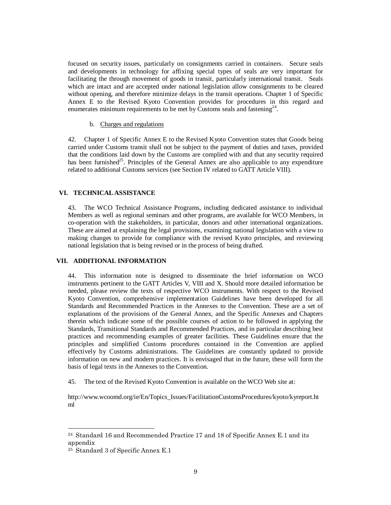focused on security issues, particularly on consignments carried in containers. Secure seals and developments in technology for affixing special types of seals are very important for facilitating the through movement of goods in transit, particularly international transit. Seals which are intact and are accepted under national legislation allow consignments to be cleared without opening, and therefore minimize delays in the transit operations. Chapter 1 of Specific Annex E to the Revised Kyoto Convention provides for procedures in this regard and enumerates minimum requirements to be met by Customs seals and fastening<sup>24</sup>.

#### b. Charges and regulations

42. Chapter 1 of Specific Annex E to the Revised Kyoto Convention states that Goods being carried under Customs transit shall not be subject to the payment of duties and taxes, provided that the conditions laid down by the Customs are complied with and that any security required has been furnished<sup>25</sup>. Principles of the General Annex are also applicable to any expenditure related to additional Customs services (see Section IV related to GATT Article VIII).

## **VI. TECHNICAL ASSISTANCE**

43. The WCO Technical Assistance Programs, including dedicated assistance to individual Members as well as regional seminars and other programs, are available for WCO Members, in co-operation with the stakeholders, in particular, donors and other international organizations. These are aimed at explaining the legal provisions, examining national legislation with a view to making changes to provide for compliance with the revised Kyoto principles, and reviewing national legislation that is being revised or in the process of being drafted.

## **VII. ADDITIONAL INFORMATION**

44. This information note is designed to disseminate the brief information on WCO instruments pertinent to the GATT Articles V, VIII and X. Should more detailed information be needed, please review the texts of respective WCO instruments. With respect to the Revised Kyoto Convention, comprehensive implementation Guidelines have been developed for all Standards and Recommended Practices in the Annexes to the Convention. These are a set of explanations of the provisions of the General Annex, and the Specific Annexes and Chapters therein which indicate some of the possible courses of action to be followed in applying the Standards, Transitional Standards and Recommended Practices, and in particular describing best practices and recommending examples of greater facilities. These Guidelines ensure that the principles and simplified Customs procedures contained in the Convention are applied effectively by Customs administrations. The Guidelines are constantly updated to provide information on new and modern practices. It is envisaged that in the future, these will form the basis of legal texts in the Annexes to the Convention.

45. The text of the Revised Kyoto Convention is available on the WCO Web site at:

http://www.wcoomd.org/ie/En/Topics\_Issues/FacilitationCustomsProcedures/kyoto/kyreport.ht ml

<sup>24</sup> Standard 16 and Recommended Practice 17 and 18 of Specific Annex E.1 and its appendix

<sup>25</sup> Standard 3 of Specific Annex E.1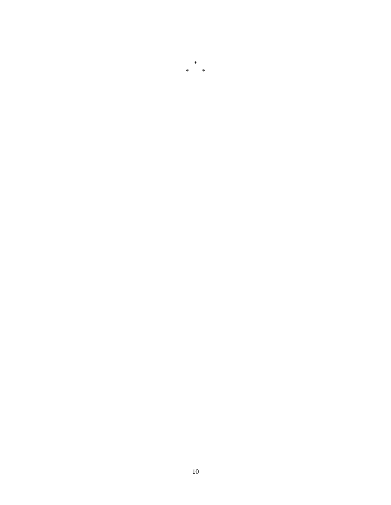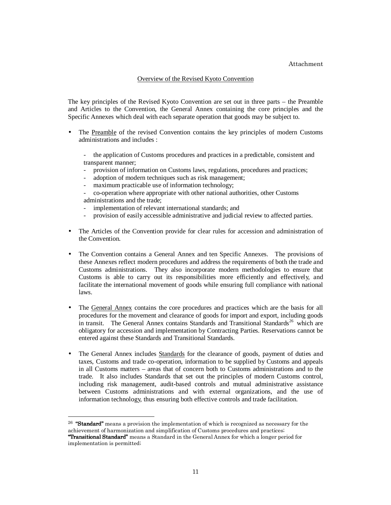#### Attachment

## Overview of the Revised Kyoto Convention

The key principles of the Revised Kyoto Convention are set out in three parts – the Preamble and Articles to the Convention, the General Annex containing the core principles and the Specific Annexes which deal with each separate operation that goods may be subject to.

• The Preamble of the revised Convention contains the key principles of modern Customs administrations and includes :

the application of Customs procedures and practices in a predictable, consistent and transparent manner;

- provision of information on Customs laws, regulations, procedures and practices;
- adoption of modern techniques such as risk management;
- maximum practicable use of information technology;
- co-operation where appropriate with other national authorities, other Customs administrations and the trade;
- implementation of relevant international standards; and
- provision of easily accessible administrative and judicial review to affected parties.
- The Articles of the Convention provide for clear rules for accession and administration of the Convention.
- The Convention contains a General Annex and ten Specific Annexes. The provisions of these Annexes reflect modern procedures and address the requirements of both the trade and Customs administrations. They also incorporate modern methodologies to ensure that Customs is able to carry out its responsibilities more efficiently and effectively, and facilitate the international movement of goods while ensuring full compliance with national laws.
- The General Annex contains the core procedures and practices which are the basis for all procedures for the movement and clearance of goods for import and export, including goods in transit. The General Annex contains Standards and Transitional Standards<sup>26</sup> which are obligatory for accession and implementation by Contracting Parties. Reservations cannot be entered against these Standards and Transitional Standards.
- The General Annex includes Standards for the clearance of goods, payment of duties and taxes, Customs and trade co-operation, information to be supplied by Customs and appeals in all Customs matters – areas that of concern both to Customs administrations and to the trade. It also includes Standards that set out the principles of modern Customs control, including risk management, audit-based controls and mutual administrative assistance between Customs administrations and with external organizations, and the use of information technology, thus ensuring both effective controls and trade facilitation.

<sup>&</sup>lt;sup>26</sup> "Standard" means a provision the implementation of which is recognized as necessary for the achievement of harmonization and simplification of Customs procedures and practices;

**<sup>&</sup>quot;Transitional Standard"** means a Standard in the General Annex for which a longer period for implementation is permitted;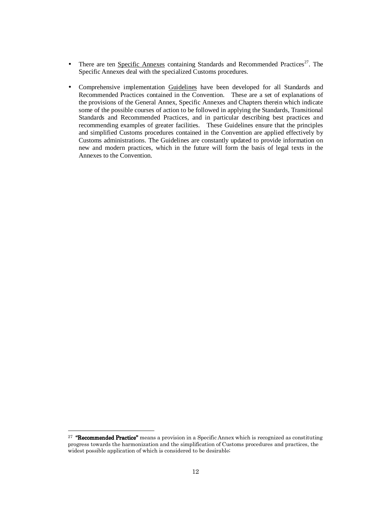- There are ten Specific Annexes containing Standards and Recommended Practices<sup>27</sup>. The Specific Annexes deal with the specialized Customs procedures.
- Comprehensive implementation Guidelines have been developed for all Standards and Recommended Practices contained in the Convention. These are a set of explanations of the provisions of the General Annex, Specific Annexes and Chapters therein which indicate some of the possible courses of action to be followed in applying the Standards, Transitional Standards and Recommended Practices, and in particular describing best practices and recommending examples of greater facilities. These Guidelines ensure that the principles and simplified Customs procedures contained in the Convention are applied effectively by Customs administrations. The Guidelines are constantly updated to provide information on new and modern practices, which in the future will form the basis of legal texts in the Annexes to the Convention.

<sup>&</sup>lt;sup>27</sup> **"Recommended Practice"** means a provision in a Specific Annex which is recognized as constituting progress towards the harmonization and the simplification of Customs procedures and practices, the widest possible application of which is considered to be desirable;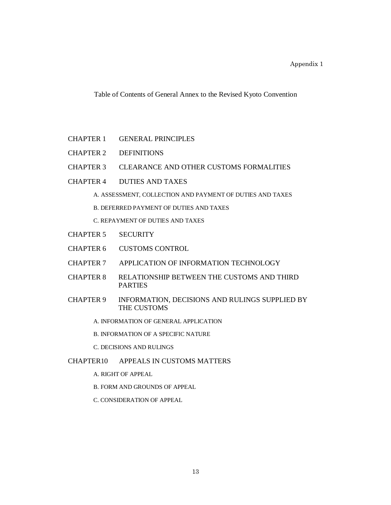#### Appendix 1

Table of Contents of General Annex to the Revised Kyoto Convention

- CHAPTER 1 GENERAL PRINCIPLES
- CHAPTER 2 DEFINITIONS
- CHAPTER 3 CLEARANCE AND OTHER CUSTOMS FORMALITIES
- CHAPTER 4 DUTIES AND TAXES

A. ASSESSMENT, COLLECTION AND PAYMENT OF DUTIES AND TAXES

B. DEFERRED PAYMENT OF DUTIES AND TAXES

C. REPAYMENT OF DUTIES AND TAXES

- CHAPTER 5 SECURITY
- CHAPTER 6 CUSTOMS CONTROL
- CHAPTER 7 APPLICATION OF INFORMATION TECHNOLOGY
- CHAPTER 8 RELATIONSHIP BETWEEN THE CUSTOMS AND THIRD PARTIES
- CHAPTER 9 INFORMATION, DECISIONS AND RULINGS SUPPLIED BY THE CUSTOMS

A. INFORMATION OF GENERAL APPLICATION

B. INFORMATION OF A SPECIFIC NATURE

C. DECISIONS AND RULINGS

# CHAPTER10 APPEALS IN CUSTOMS MATTERS

- A. RIGHT OF APPEAL
- B. FORM AND GROUNDS OF APPEAL
- C. CONSIDERATION OF APPEAL